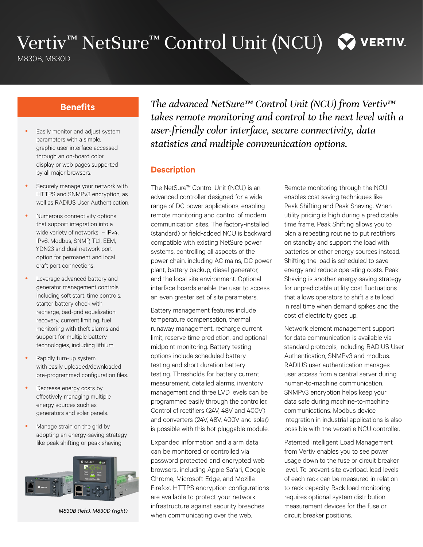# Vertiv™ NetSure™ Control Unit (NCU) © VERTIV

M830B, M830D

- Easily monitor and adjust system parameters with a simple, graphic user interface accessed through an on-board color display or web pages supported by all major browsers.
- Securely manage your network with HTTPS and SNMPv3 encryption, as well as RADIUS User Authentication.
- Numerous connectivity options that support integration into a wide variety of networks - IPv4, IPv6, Modbus, SNMP, TL1, EEM, YDN23 and dual network port option for permanent and local craft port connections.
- Leverage advanced battery and generator management controls, including soft start, time controls, starter battery check with recharge, bad-grid equalization recovery, current limiting, fuel monitoring with theft alarms and support for multiple battery technologies, including lithium.
- Rapidly turn-up system with easily uploaded/downloaded pre-programmed configuration files.
- Decrease energy costs by effectively managing multiple energy sources such as generators and solar panels.
- Manage strain on the grid by adopting an energy-saving strategy like peak shifting or peak shaving.



*M830B (left), M830D (right)*

**Benefits** *The advanced NetSure™ Control Unit (NCU) from Vertiv™ takes remote monitoring and control to the next level with a user-friendly color interface, secure connectivity, data statistics and multiple communication options.*

## **Description**

The NetSure™ Control Unit (NCU) is an advanced controller designed for a wide range of DC power applications, enabling remote monitoring and control of modern communication sites. The factory-installed (standard) or field-added NCU is backward compatible with existing NetSure power systems, controlling all aspects of the power chain, including AC mains, DC power plant, battery backup, diesel generator, and the local site environment. Optional interface boards enable the user to access an even greater set of site parameters.

Battery management features include temperature compensation, thermal runaway management, recharge current limit, reserve time prediction, and optional midpoint monitoring. Battery testing options include scheduled battery testing and short duration battery testing. Thresholds for battery current measurement, detailed alarms, inventory management and three LVD levels can be programmed easily through the controller. Control of rectifiers (24V, 48V and 400V) and converters (24V, 48V, 400V and solar) is possible with this hot pluggable module.

Expanded information and alarm data can be monitored or controlled via password protected and encrypted web browsers, including Apple Safari, Google Chrome, Microsoft Edge, and Mozilla Firefox. HTTPS encryption configurations are available to protect your network infrastructure against security breaches when communicating over the web.

Remote monitoring through the NCU enables cost saving techniques like Peak Shifting and Peak Shaving. When utility pricing is high during a predictable time frame, Peak Shifting allows you to plan a repeating routine to put rectifiers on standby and support the load with batteries or other energy sources instead. Shifting the load is scheduled to save energy and reduce operating costs. Peak Shaving is another energy-saving strategy for unpredictable utility cost fluctuations that allows operators to shift a site load in real time when demand spikes and the cost of electricity goes up.

Network element management support for data communication is available via standard protocols, including RADIUS User Authentication, SNMPv3 and modbus. RADIUS user authentication manages user access from a central server during human-to-machine communication. SNMPv3 encryption helps keep your data safe during machine-to-machine communications. Modbus device integration in industrial applications is also possible with the versatile NCU controller.

Patented Intelligent Load Management from Vertiv enables you to see power usage down to the fuse or circuit breaker level. To prevent site overload, load levels of each rack can be measured in relation to rack capacity. Rack load monitoring requires optional system distribution measurement devices for the fuse or circuit breaker positions.